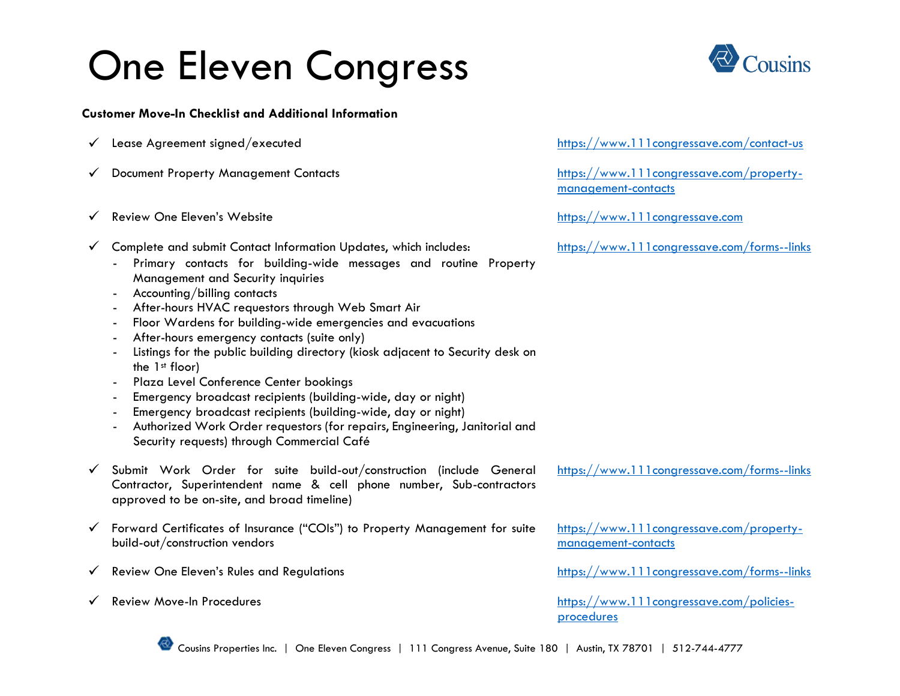## One Eleven Congress

**Customer Move-In Checklist and Additional Information**

- 
- 
- ✓ Review One Eleven's Website [https://www.111congressave.com](https://www.111congressave.com/)
- ✓ Complete and submit Contact Information Updates, which includes: <https://www.111congressave.com/forms--links>
	- Primary contacts for building-wide messages and routine Property Management and Security inquiries
	- Accounting/billing contacts
	- After-hours HVAC requestors through Web Smart Air
	- Floor Wardens for building-wide emergencies and evacuations
	- After-hours emergency contacts (suite only)
	- Listings for the public building directory (kiosk adjacent to Security desk on the 1st floor)
	- Plaza Level Conference Center bookings
	- Emergency broadcast recipients (building-wide, day or night)
	- Emergency broadcast recipients (building-wide, day or night)
	- Authorized Work Order requestors (for repairs, Engineering, Janitorial and Security requests) through Commercial Café
- ✓ Submit Work Order for suite build-out/construction (include General Contractor, Superintendent name & cell phone number, Sub-contractors approved to be on-site, and broad timeline)
- ✓ Forward Certificates of Insurance ("COIs") to Property Management for suite build-out/construction vendors
- $\checkmark$  Review One Eleven's Rules and Regulations <https://www.111congressave.com/forms--links>
- 

✓ Lease Agreement signed/executed <https://www.111congressave.com/contact-us>

✓ Document Property Management Contacts [https://www.111congressave.com/property](https://www.111congressave.com/property-management-contacts)[management-contacts](https://www.111congressave.com/property-management-contacts)

<https://www.111congressave.com/forms--links>

[https://www.111congressave.com/property](https://www.111congressave.com/property-management-contacts)[management-contacts](https://www.111congressave.com/property-management-contacts)

✓ Review Move-In Procedures [https://www.111congressave.com/policies](https://www.111congressave.com/policies-procedures)[procedures](https://www.111congressave.com/policies-procedures)

Cousins Properties Inc. | One Eleven Congress | 111 Congress Avenue, Suite 180 | Austin, TX 78701 | 512-744-4777

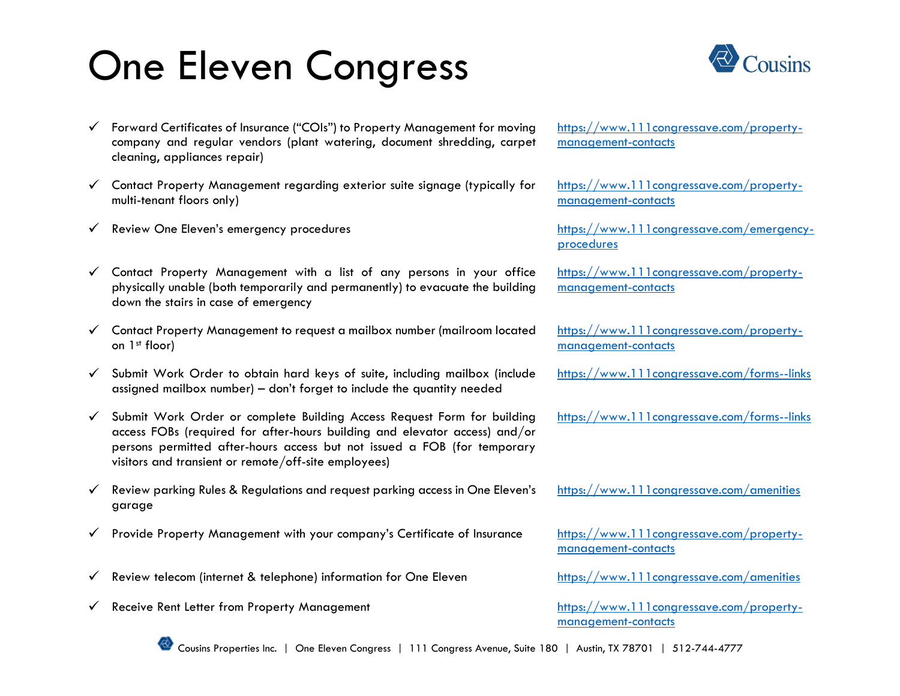## One Eleven Congress

- ✓ Forward Certificates of Insurance ("COIs") to Property Management for moving company and regular vendors (plant watering, document shredding, carpet cleaning, appliances repair)
- $\checkmark$  Contact Property Management regarding exterior suite signage (typically for multi-tenant floors only)
- ✓ Review One Eleven's emergency procedures [https://www.111congressave.com/emergency-](https://www.111congressave.com/emergency-procedures)
- $\checkmark$  Contact Property Management with a list of any persons in your office physically unable (both temporarily and permanently) to evacuate the building down the stairs in case of emergency
- ✓ Contact Property Management to request a mailbox number (mailroom located on 1st floor)
- $\checkmark$  Submit Work Order to obtain hard keys of suite, including mailbox (include assigned mailbox number) – don't forget to include the quantity needed
- ✓ Submit Work Order or complete Building Access Request Form for building access FOBs (required for after-hours building and elevator access) and/or persons permitted after-hours access but not issued a FOB (for temporary visitors and transient or remote/off-site employees)
- $\checkmark$  Review parking Rules & Regulations and request parking access in One Eleven's garage
- ✓ Provide Property Management with your company's Certificate of Insurance [https://www.111congressave.com/property-](https://www.111congressave.com/property-management-contacts)
- ✓ Review telecom (internet & telephone) information for One Eleven <https://www.111congressave.com/amenities>
- ✓ Receive Rent Letter from Property Management [https://www.111congressave.com/property-](https://www.111congressave.com/property-management-contacts)



[https://www.111congressave.com/property](https://www.111congressave.com/property-management-contacts)[management-contacts](https://www.111congressave.com/property-management-contacts)

[https://www.111congressave.com/property](https://www.111congressave.com/property-management-contacts)[management-contacts](https://www.111congressave.com/property-management-contacts)

[procedures](https://www.111congressave.com/emergency-procedures)

[https://www.111congressave.com/property](https://www.111congressave.com/property-management-contacts)[management-contacts](https://www.111congressave.com/property-management-contacts)

[https://www.111congressave.com/property](https://www.111congressave.com/property-management-contacts)[management-contacts](https://www.111congressave.com/property-management-contacts)

<https://www.111congressave.com/forms--links>

<https://www.111congressave.com/forms--links>

<https://www.111congressave.com/amenities>

[management-contacts](https://www.111congressave.com/property-management-contacts)

[management-contacts](https://www.111congressave.com/property-management-contacts)



Cousins Properties Inc. | One Eleven Congress | 111 Congress Avenue, Suite 180 | Austin, TX 78701 | 512-744-4777